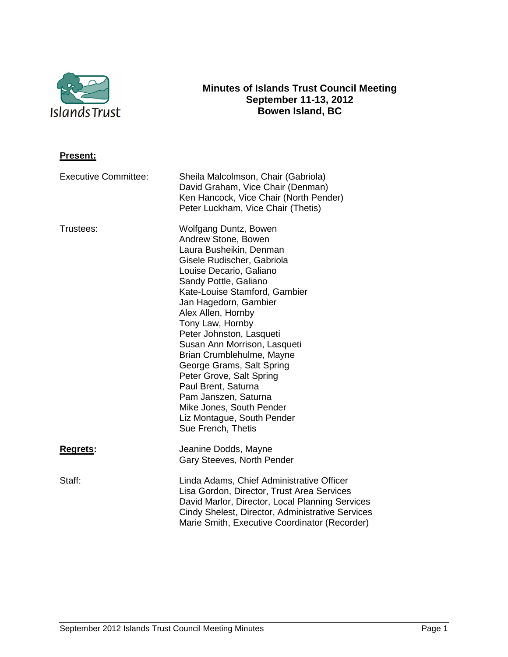

# **Minutes of Islands Trust Council Meeting September 11-13, 2012 Bowen Island, BC**

| <u>Present:</u>             |                                                                                                                                                                                                                                                                                                                                                                                                                                                                                                                                                |
|-----------------------------|------------------------------------------------------------------------------------------------------------------------------------------------------------------------------------------------------------------------------------------------------------------------------------------------------------------------------------------------------------------------------------------------------------------------------------------------------------------------------------------------------------------------------------------------|
| <b>Executive Committee:</b> | Sheila Malcolmson, Chair (Gabriola)<br>David Graham, Vice Chair (Denman)<br>Ken Hancock, Vice Chair (North Pender)<br>Peter Luckham, Vice Chair (Thetis)                                                                                                                                                                                                                                                                                                                                                                                       |
| Trustees:                   | Wolfgang Duntz, Bowen<br>Andrew Stone, Bowen<br>Laura Busheikin, Denman<br>Gisele Rudischer, Gabriola<br>Louise Decario, Galiano<br>Sandy Pottle, Galiano<br>Kate-Louise Stamford, Gambier<br>Jan Hagedorn, Gambier<br>Alex Allen, Hornby<br>Tony Law, Hornby<br>Peter Johnston, Lasqueti<br>Susan Ann Morrison, Lasqueti<br>Brian Crumblehulme, Mayne<br>George Grams, Salt Spring<br>Peter Grove, Salt Spring<br>Paul Brent, Saturna<br>Pam Janszen, Saturna<br>Mike Jones, South Pender<br>Liz Montague, South Pender<br>Sue French, Thetis |
| Regrets:                    | Jeanine Dodds, Mayne<br>Gary Steeves, North Pender                                                                                                                                                                                                                                                                                                                                                                                                                                                                                             |
| Staff:                      | Linda Adams, Chief Administrative Officer<br>Lisa Gordon, Director, Trust Area Services<br>David Marlor, Director, Local Planning Services<br>Cindy Shelest, Director, Administrative Services<br>Marie Smith, Executive Coordinator (Recorder)                                                                                                                                                                                                                                                                                                |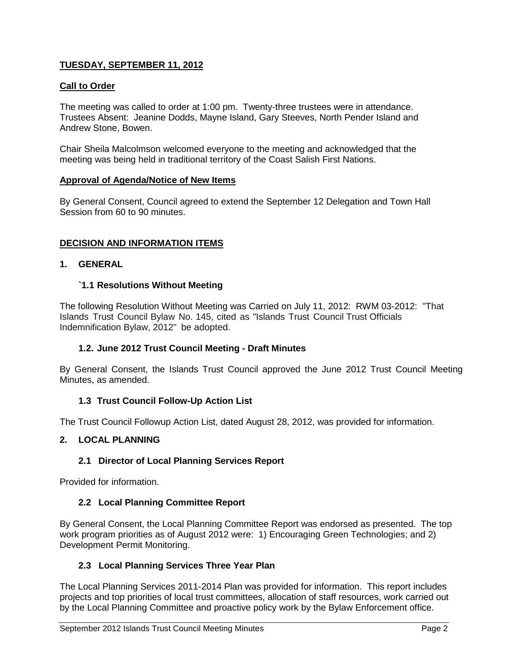# **TUESDAY, SEPTEMBER 11, 2012**

# **Call to Order**

The meeting was called to order at 1:00 pm. Twenty-three trustees were in attendance. Trustees Absent: Jeanine Dodds, Mayne Island, Gary Steeves, North Pender Island and Andrew Stone, Bowen.

Chair Sheila Malcolmson welcomed everyone to the meeting and acknowledged that the meeting was being held in traditional territory of the Coast Salish First Nations.

### **Approval of Agenda/Notice of New Items**

By General Consent, Council agreed to extend the September 12 Delegation and Town Hall Session from 60 to 90 minutes.

## **DECISION AND INFORMATION ITEMS**

## **1. GENERAL**

## **`1.1 Resolutions Without Meeting**

The following Resolution Without Meeting was Carried on July 11, 2012: RWM 03-2012: "That Islands Trust Council Bylaw No. 145, cited as "Islands Trust Council Trust Officials Indemnification Bylaw, 2012" be adopted.

## **1.2. June 2012 Trust Council Meeting - Draft Minutes**

By General Consent, the Islands Trust Council approved the June 2012 Trust Council Meeting Minutes, as amended.

## **1.3 Trust Council Follow-Up Action List**

The Trust Council Followup Action List, dated August 28, 2012, was provided for information.

# **2. LOCAL PLANNING**

## **2.1 Director of Local Planning Services Report**

Provided for information.

## **2.2 Local Planning Committee Report**

By General Consent, the Local Planning Committee Report was endorsed as presented. The top work program priorities as of August 2012 were: 1) Encouraging Green Technologies; and 2) Development Permit Monitoring.

## **2.3 Local Planning Services Three Year Plan**

The Local Planning Services 2011-2014 Plan was provided for information. This report includes projects and top priorities of local trust committees, allocation of staff resources, work carried out by the Local Planning Committee and proactive policy work by the Bylaw Enforcement office.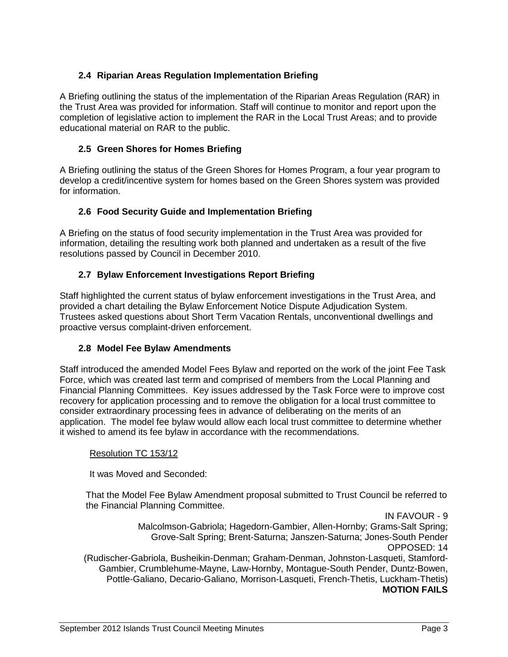# **2.4 Riparian Areas Regulation Implementation Briefing**

A Briefing outlining the status of the implementation of the Riparian Areas Regulation (RAR) in the Trust Area was provided for information. Staff will continue to monitor and report upon the completion of legislative action to implement the RAR in the Local Trust Areas; and to provide educational material on RAR to the public.

# **2.5 Green Shores for Homes Briefing**

A Briefing outlining the status of the Green Shores for Homes Program, a four year program to develop a credit/incentive system for homes based on the Green Shores system was provided for information.

## **2.6 Food Security Guide and Implementation Briefing**

A Briefing on the status of food security implementation in the Trust Area was provided for information, detailing the resulting work both planned and undertaken as a result of the five resolutions passed by Council in December 2010.

## **2.7 Bylaw Enforcement Investigations Report Briefing**

Staff highlighted the current status of bylaw enforcement investigations in the Trust Area, and provided a chart detailing the Bylaw Enforcement Notice Dispute Adjudication System. Trustees asked questions about Short Term Vacation Rentals, unconventional dwellings and proactive versus complaint-driven enforcement.

## **2.8 Model Fee Bylaw Amendments**

Staff introduced the amended Model Fees Bylaw and reported on the work of the joint Fee Task Force, which was created last term and comprised of members from the Local Planning and Financial Planning Committees. Key issues addressed by the Task Force were to improve cost recovery for application processing and to remove the obligation for a local trust committee to consider extraordinary processing fees in advance of deliberating on the merits of an application. The model fee bylaw would allow each local trust committee to determine whether it wished to amend its fee bylaw in accordance with the recommendations.

## Resolution TC 153/12

It was Moved and Seconded:

That the Model Fee Bylaw Amendment proposal submitted to Trust Council be referred to the Financial Planning Committee.

IN FAVOUR - 9 Malcolmson-Gabriola; Hagedorn-Gambier, Allen-Hornby; Grams-Salt Spring; Grove-Salt Spring; Brent-Saturna; Janszen-Saturna; Jones-South Pender OPPOSED: 14 (Rudischer-Gabriola, Busheikin-Denman; Graham-Denman, Johnston-Lasqueti, Stamford-Gambier, Crumblehume-Mayne, Law-Hornby, Montague-South Pender, Duntz-Bowen, Pottle-Galiano, Decario-Galiano, Morrison-Lasqueti, French-Thetis, Luckham-Thetis) **MOTION FAILS**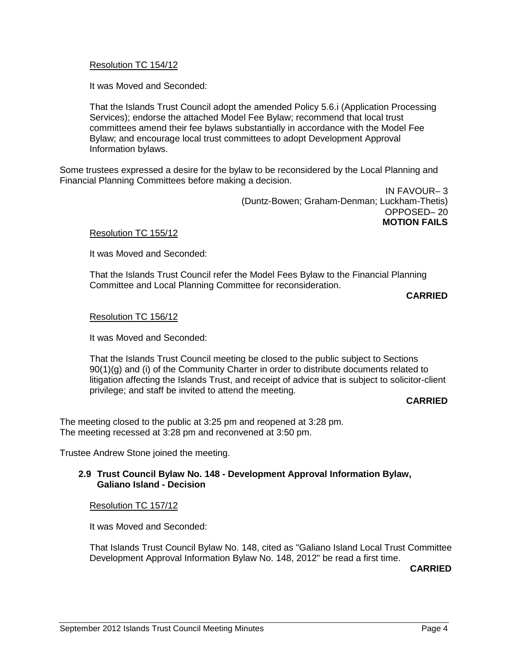## Resolution TC 154/12

It was Moved and Seconded:

That the Islands Trust Council adopt the amended Policy 5.6.i (Application Processing Services); endorse the attached Model Fee Bylaw; recommend that local trust committees amend their fee bylaws substantially in accordance with the Model Fee Bylaw; and encourage local trust committees to adopt Development Approval Information bylaws.

Some trustees expressed a desire for the bylaw to be reconsidered by the Local Planning and Financial Planning Committees before making a decision.

> IN FAVOUR– 3 (Duntz-Bowen; Graham-Denman; Luckham-Thetis) OPPOSED– 20 **MOTION FAILS**

### Resolution TC 155/12

It was Moved and Seconded:

That the Islands Trust Council refer the Model Fees Bylaw to the Financial Planning Committee and Local Planning Committee for reconsideration.

**CARRIED**

### Resolution TC 156/12

It was Moved and Seconded:

That the Islands Trust Council meeting be closed to the public subject to Sections 90(1)(g) and (i) of the Community Charter in order to distribute documents related to litigation affecting the Islands Trust, and receipt of advice that is subject to solicitor-client privilege; and staff be invited to attend the meeting*.*

### **CARRIED**

The meeting closed to the public at 3:25 pm and reopened at 3:28 pm. The meeting recessed at 3:28 pm and reconvened at 3:50 pm.

Trustee Andrew Stone joined the meeting.

## **2.9 Trust Council Bylaw No. 148 - Development Approval Information Bylaw, Galiano Island - Decision**

### Resolution TC 157/12

It was Moved and Seconded:

That Islands Trust Council Bylaw No. 148, cited as "Galiano Island Local Trust Committee Development Approval Information Bylaw No. 148, 2012" be read a first time.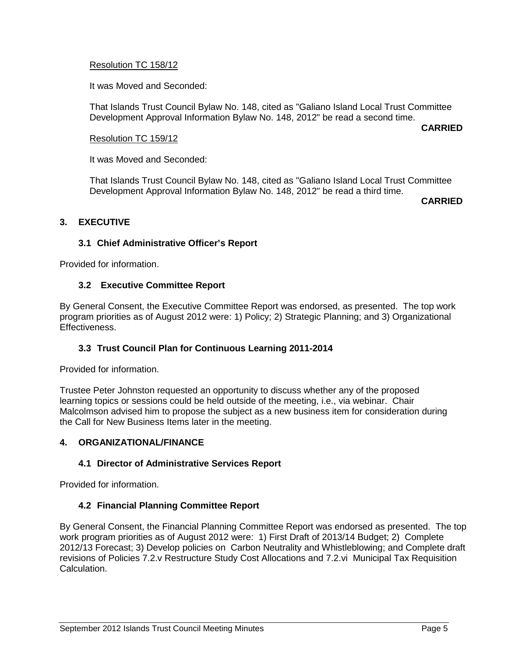## Resolution TC 158/12

It was Moved and Seconded:

That Islands Trust Council Bylaw No. 148, cited as "Galiano Island Local Trust Committee Development Approval Information Bylaw No. 148, 2012" be read a second time.

**CARRIED**

## Resolution TC 159/12

It was Moved and Seconded:

That Islands Trust Council Bylaw No. 148, cited as "Galiano Island Local Trust Committee Development Approval Information Bylaw No. 148, 2012" be read a third time.

**CARRIED**

# **3. EXECUTIVE**

# **3.1 Chief Administrative Officer's Report**

Provided for information.

## **3.2 Executive Committee Report**

By General Consent, the Executive Committee Report was endorsed, as presented. The top work program priorities as of August 2012 were: 1) Policy; 2) Strategic Planning; and 3) Organizational Effectiveness.

# **3.3 Trust Council Plan for Continuous Learning 2011-2014**

Provided for information.

Trustee Peter Johnston requested an opportunity to discuss whether any of the proposed learning topics or sessions could be held outside of the meeting, i.e., via webinar. Chair Malcolmson advised him to propose the subject as a new business item for consideration during the Call for New Business Items later in the meeting.

## **4. ORGANIZATIONAL/FINANCE**

## **4.1 Director of Administrative Services Report**

Provided for information.

## **4.2 Financial Planning Committee Report**

By General Consent, the Financial Planning Committee Report was endorsed as presented. The top work program priorities as of August 2012 were: 1) First Draft of 2013/14 Budget; 2) Complete 2012/13 Forecast; 3) Develop policies on Carbon Neutrality and Whistleblowing; and Complete draft revisions of Policies 7.2.v Restructure Study Cost Allocations and 7.2.vi Municipal Tax Requisition Calculation.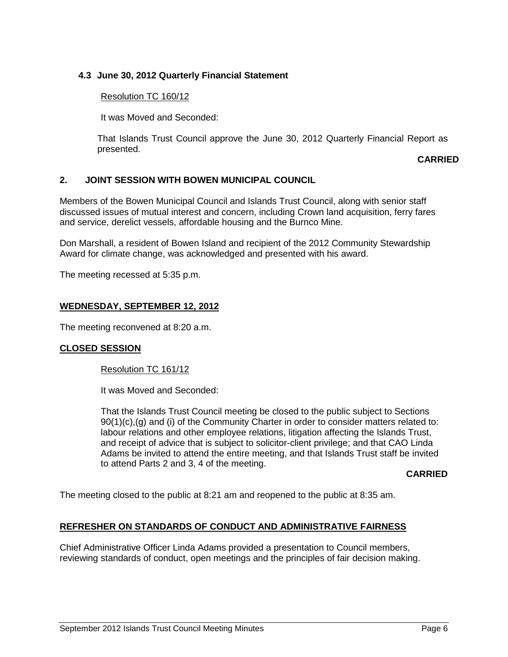# **4.3 June 30, 2012 Quarterly Financial Statement**

## Resolution TC 160/12

It was Moved and Seconded:

That Islands Trust Council approve the June 30, 2012 Quarterly Financial Report as presented.

### **CARRIED**

## **2. JOINT SESSION WITH BOWEN MUNICIPAL COUNCIL**

Members of the Bowen Municipal Council and Islands Trust Council, along with senior staff discussed issues of mutual interest and concern, including Crown land acquisition, ferry fares and service, derelict vessels, affordable housing and the Burnco Mine.

Don Marshall, a resident of Bowen Island and recipient of the 2012 Community Stewardship Award for climate change, was acknowledged and presented with his award.

The meeting recessed at 5:35 p.m.

## **WEDNESDAY, SEPTEMBER 12, 2012**

The meeting reconvened at 8:20 a.m.

## **CLOSED SESSION**

## Resolution TC 161/12

It was Moved and Seconded:

That the Islands Trust Council meeting be closed to the public subject to Sections 90(1)(c),(g) and (i) of the Community Charter in order to consider matters related to: labour relations and other employee relations, litigation affecting the Islands Trust, and receipt of advice that is subject to solicitor-client privilege; and that CAO Linda Adams be invited to attend the entire meeting, and that Islands Trust staff be invited to attend Parts 2 and 3, 4 of the meeting.

### **CARRIED**

The meeting closed to the public at 8:21 am and reopened to the public at 8:35 am.

## **REFRESHER ON STANDARDS OF CONDUCT AND ADMINISTRATIVE FAIRNESS**

Chief Administrative Officer Linda Adams provided a presentation to Council members, reviewing standards of conduct, open meetings and the principles of fair decision making.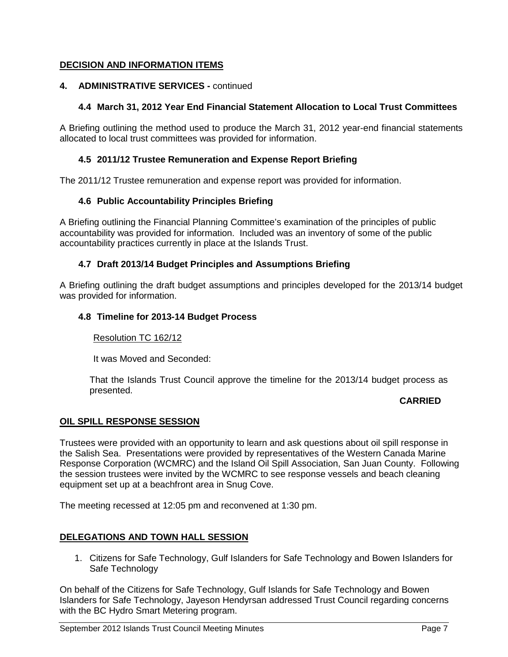# **DECISION AND INFORMATION ITEMS**

# **4. ADMINISTRATIVE SERVICES -** continued

# **4.4 March 31, 2012 Year End Financial Statement Allocation to Local Trust Committees**

A Briefing outlining the method used to produce the March 31, 2012 year-end financial statements allocated to local trust committees was provided for information.

## **4.5 2011/12 Trustee Remuneration and Expense Report Briefing**

The 2011/12 Trustee remuneration and expense report was provided for information.

## **4.6 Public Accountability Principles Briefing**

A Briefing outlining the Financial Planning Committee's examination of the principles of public accountability was provided for information. Included was an inventory of some of the public accountability practices currently in place at the Islands Trust.

## **4.7 Draft 2013/14 Budget Principles and Assumptions Briefing**

A Briefing outlining the draft budget assumptions and principles developed for the 2013/14 budget was provided for information.

## **4.8 Timeline for 2013-14 Budget Process**

## Resolution TC 162/12

It was Moved and Seconded:

That the Islands Trust Council approve the timeline for the 2013/14 budget process as presented.

## **CARRIED**

## **OIL SPILL RESPONSE SESSION**

Trustees were provided with an opportunity to learn and ask questions about oil spill response in the Salish Sea. Presentations were provided by representatives of the Western Canada Marine Response Corporation (WCMRC) and the Island Oil Spill Association, San Juan County. Following the session trustees were invited by the WCMRC to see response vessels and beach cleaning equipment set up at a beachfront area in Snug Cove.

The meeting recessed at 12:05 pm and reconvened at 1:30 pm.

## **DELEGATIONS AND TOWN HALL SESSION**

1. Citizens for Safe Technology, Gulf Islanders for Safe Technology and Bowen Islanders for Safe Technology

On behalf of the Citizens for Safe Technology, Gulf Islands for Safe Technology and Bowen Islanders for Safe Technology, Jayeson Hendyrsan addressed Trust Council regarding concerns with the BC Hydro Smart Metering program.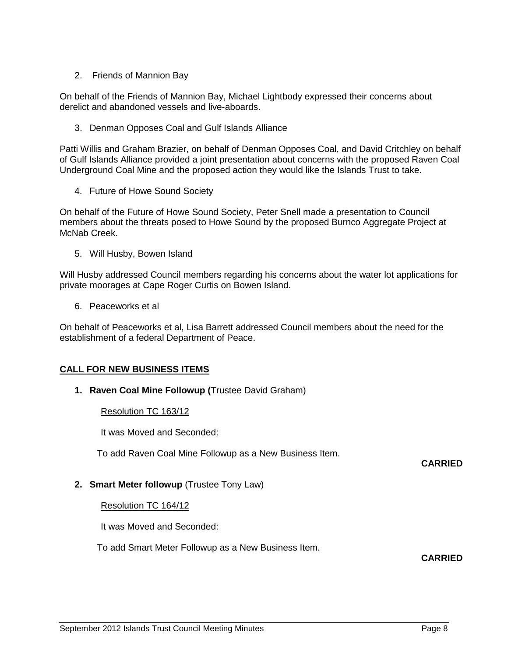# 2. Friends of Mannion Bay

On behalf of the Friends of Mannion Bay, Michael Lightbody expressed their concerns about derelict and abandoned vessels and live-aboards.

3. Denman Opposes Coal and Gulf Islands Alliance

Patti Willis and Graham Brazier, on behalf of Denman Opposes Coal, and David Critchley on behalf of Gulf Islands Alliance provided a joint presentation about concerns with the proposed Raven Coal Underground Coal Mine and the proposed action they would like the Islands Trust to take.

4. Future of Howe Sound Society

On behalf of the Future of Howe Sound Society, Peter Snell made a presentation to Council members about the threats posed to Howe Sound by the proposed Burnco Aggregate Project at McNab Creek.

5. Will Husby, Bowen Island

Will Husby addressed Council members regarding his concerns about the water lot applications for private moorages at Cape Roger Curtis on Bowen Island.

6. Peaceworks et al

On behalf of Peaceworks et al, Lisa Barrett addressed Council members about the need for the establishment of a federal Department of Peace.

# **CALL FOR NEW BUSINESS ITEMS**

**1. Raven Coal Mine Followup (**Trustee David Graham)

Resolution TC 163/12

It was Moved and Seconded:

To add Raven Coal Mine Followup as a New Business Item.

# **2. Smart Meter followup** (Trustee Tony Law)

Resolution TC 164/12

It was Moved and Seconded:

To add Smart Meter Followup as a New Business Item.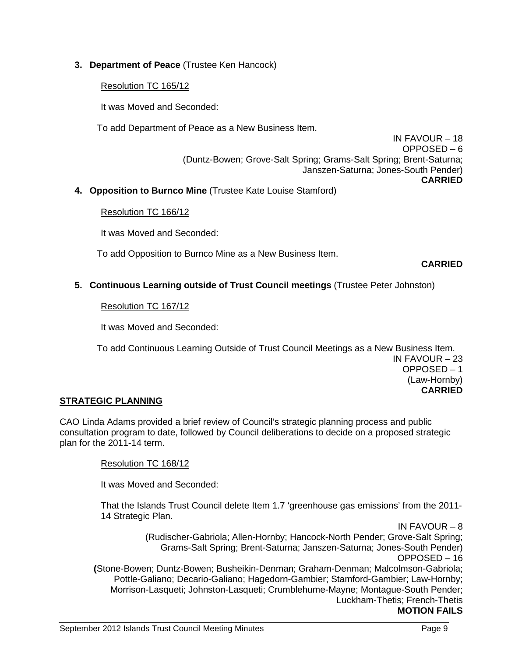# **3. Department of Peace** (Trustee Ken Hancock)

# Resolution TC 165/12

It was Moved and Seconded:

To add Department of Peace as a New Business Item.

IN FAVOUR – 18 OPPOSED – 6 (Duntz-Bowen; Grove-Salt Spring; Grams-Salt Spring; Brent-Saturna; Janszen-Saturna; Jones-South Pender) **CARRIED**

**4. Opposition to Burnco Mine** (Trustee Kate Louise Stamford)

## Resolution TC 166/12

It was Moved and Seconded:

To add Opposition to Burnco Mine as a New Business Item.

**CARRIED**

# **5. Continuous Learning outside of Trust Council meetings** (Trustee Peter Johnston)

Resolution TC 167/12

It was Moved and Seconded:

To add Continuous Learning Outside of Trust Council Meetings as a New Business Item. IN FAVOUR – 23 OPPOSED – 1 (Law-Hornby) **CARRIED**

## **STRATEGIC PLANNING**

CAO Linda Adams provided a brief review of Council's strategic planning process and public consultation program to date, followed by Council deliberations to decide on a proposed strategic plan for the 2011-14 term.

## Resolution TC 168/12

It was Moved and Seconded:

That the Islands Trust Council delete Item 1.7 'greenhouse gas emissions' from the 2011- 14 Strategic Plan.

IN FAVOUR – 8 (Rudischer-Gabriola; Allen-Hornby; Hancock-North Pender; Grove-Salt Spring; Grams-Salt Spring; Brent-Saturna; Janszen-Saturna; Jones-South Pender) OPPOSED – 16 **(**Stone-Bowen; Duntz-Bowen; Busheikin-Denman; Graham-Denman; Malcolmson-Gabriola; Pottle-Galiano; Decario-Galiano; Hagedorn-Gambier; Stamford-Gambier; Law-Hornby; Morrison-Lasqueti; Johnston-Lasqueti; Crumblehume-Mayne; Montague-South Pender; Luckham-Thetis; French-Thetis **MOTION FAILS**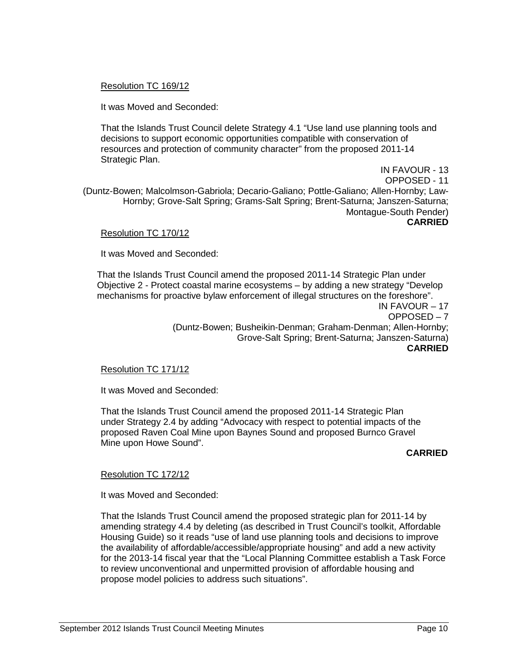## Resolution TC 169/12

It was Moved and Seconded:

That the Islands Trust Council delete Strategy 4.1 "Use land use planning tools and decisions to support economic opportunities compatible with conservation of resources and protection of community character" from the proposed 2011-14 Strategic Plan.

IN FAVOUR - 13 OPPOSED - 11 (Duntz-Bowen; Malcolmson-Gabriola; Decario-Galiano; Pottle-Galiano; Allen-Hornby; Law-Hornby; Grove-Salt Spring; Grams-Salt Spring; Brent-Saturna; Janszen-Saturna; Montague-South Pender) **CARRIED**

### Resolution TC 170/12

It was Moved and Seconded:

That the Islands Trust Council amend the proposed 2011-14 Strategic Plan under Objective 2 - Protect coastal marine ecosystems – by adding a new strategy "Develop mechanisms for proactive bylaw enforcement of illegal structures on the foreshore". IN FAVOUR – 17 OPPOSED – 7 (Duntz-Bowen; Busheikin-Denman; Graham-Denman; Allen-Hornby;

Grove-Salt Spring; Brent-Saturna; Janszen-Saturna) **CARRIED**

## Resolution TC 171/12

It was Moved and Seconded:

That the Islands Trust Council amend the proposed 2011-14 Strategic Plan under Strategy 2.4 by adding "Advocacy with respect to potential impacts of the proposed Raven Coal Mine upon Baynes Sound and proposed Burnco Gravel Mine upon Howe Sound".

### **CARRIED**

## Resolution TC 172/12

It was Moved and Seconded:

That the Islands Trust Council amend the proposed strategic plan for 2011-14 by amending strategy 4.4 by deleting (as described in Trust Council's toolkit, Affordable Housing Guide) so it reads "use of land use planning tools and decisions to improve the availability of affordable/accessible/appropriate housing" and add a new activity for the 2013-14 fiscal year that the "Local Planning Committee establish a Task Force to review unconventional and unpermitted provision of affordable housing and propose model policies to address such situations".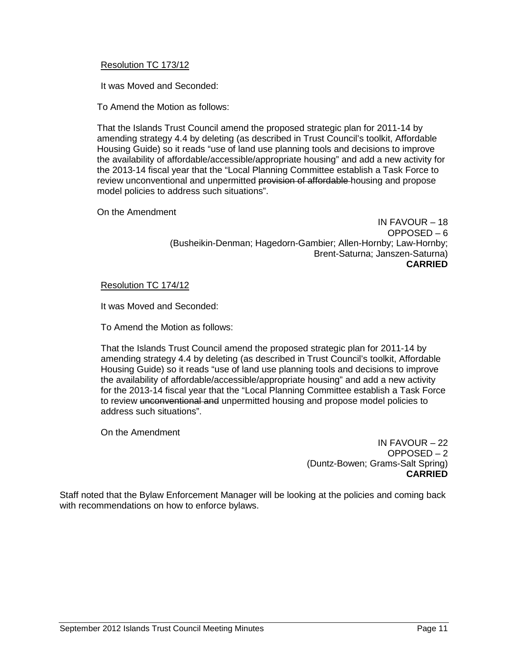## Resolution TC 173/12

It was Moved and Seconded:

To Amend the Motion as follows:

That the Islands Trust Council amend the proposed strategic plan for 2011-14 by amending strategy 4.4 by deleting (as described in Trust Council's toolkit, Affordable Housing Guide) so it reads "use of land use planning tools and decisions to improve the availability of affordable/accessible/appropriate housing" and add a new activity for the 2013-14 fiscal year that the "Local Planning Committee establish a Task Force to review unconventional and unpermitted provision of affordable-housing and propose model policies to address such situations".

On the Amendment

IN FAVOUR – 18 OPPOSED – 6 (Busheikin-Denman; Hagedorn-Gambier; Allen-Hornby; Law-Hornby; Brent-Saturna; Janszen-Saturna) **CARRIED**

### Resolution TC 174/12

It was Moved and Seconded:

To Amend the Motion as follows:

That the Islands Trust Council amend the proposed strategic plan for 2011-14 by amending strategy 4.4 by deleting (as described in Trust Council's toolkit, Affordable Housing Guide) so it reads "use of land use planning tools and decisions to improve the availability of affordable/accessible/appropriate housing" and add a new activity for the 2013-14 fiscal year that the "Local Planning Committee establish a Task Force to review unconventional and unpermitted housing and propose model policies to address such situations".

On the Amendment

IN FAVOUR – 22 OPPOSED – 2 (Duntz-Bowen; Grams-Salt Spring) **CARRIED**

Staff noted that the Bylaw Enforcement Manager will be looking at the policies and coming back with recommendations on how to enforce bylaws.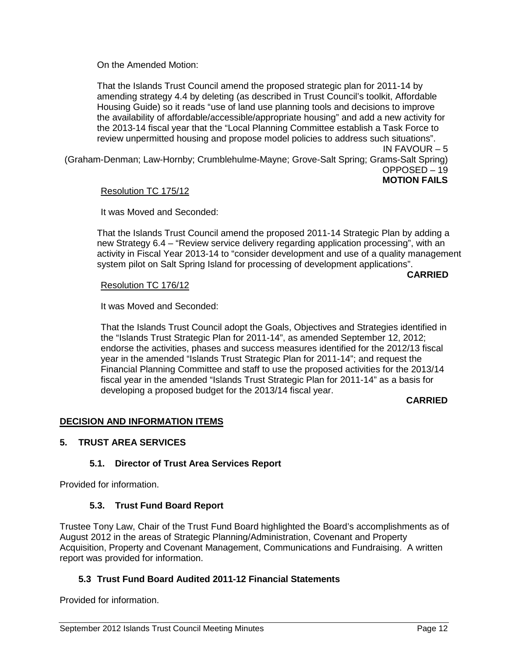On the Amended Motion:

That the Islands Trust Council amend the proposed strategic plan for 2011-14 by amending strategy 4.4 by deleting (as described in Trust Council's toolkit, Affordable Housing Guide) so it reads "use of land use planning tools and decisions to improve the availability of affordable/accessible/appropriate housing" and add a new activity for the 2013-14 fiscal year that the "Local Planning Committee establish a Task Force to review unpermitted housing and propose model policies to address such situations". IN FAVOUR – 5

(Graham-Denman; Law-Hornby; Crumblehulme-Mayne; Grove-Salt Spring; Grams-Salt Spring) OPPOSED – 19 **MOTION FAILS**

## Resolution TC 175/12

It was Moved and Seconded:

That the Islands Trust Council amend the proposed 2011-14 Strategic Plan by adding a new Strategy 6.4 – "Review service delivery regarding application processing", with an activity in Fiscal Year 2013-14 to "consider development and use of a quality management system pilot on Salt Spring Island for processing of development applications".

**CARRIED**

## Resolution TC 176/12

It was Moved and Seconded:

That the Islands Trust Council adopt the Goals, Objectives and Strategies identified in the "Islands Trust Strategic Plan for 2011-14", as amended September 12, 2012; endorse the activities, phases and success measures identified for the 2012/13 fiscal year in the amended "Islands Trust Strategic Plan for 2011-14"; and request the Financial Planning Committee and staff to use the proposed activities for the 2013/14 fiscal year in the amended "Islands Trust Strategic Plan for 2011-14" as a basis for developing a proposed budget for the 2013/14 fiscal year.

## **CARRIED**

## **DECISION AND INFORMATION ITEMS**

## **5. TRUST AREA SERVICES**

## **5.1. Director of Trust Area Services Report**

Provided for information.

## **5.3. Trust Fund Board Report**

Trustee Tony Law, Chair of the Trust Fund Board highlighted the Board's accomplishments as of August 2012 in the areas of Strategic Planning/Administration, Covenant and Property Acquisition, Property and Covenant Management, Communications and Fundraising. A written report was provided for information.

## **5.3 Trust Fund Board Audited 2011-12 Financial Statements**

Provided for information.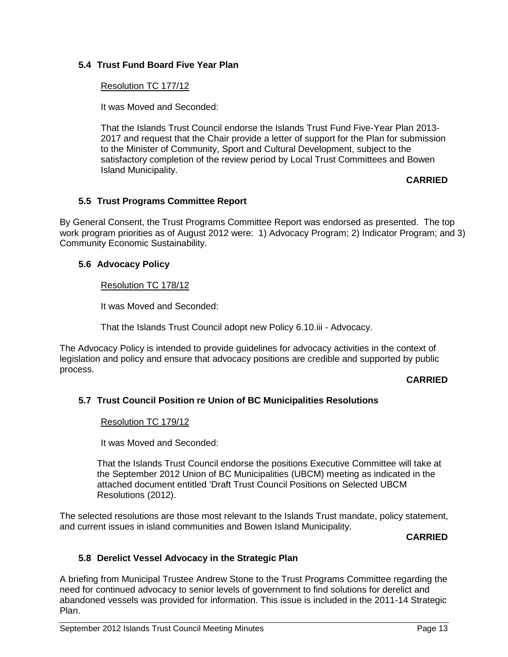# **5.4 Trust Fund Board Five Year Plan**

## Resolution TC 177/12

It was Moved and Seconded:

That the Islands Trust Council endorse the Islands Trust Fund Five-Year Plan 2013- 2017 and request that the Chair provide a letter of support for the Plan for submission to the Minister of Community, Sport and Cultural Development, subject to the satisfactory completion of the review period by Local Trust Committees and Bowen Island Municipality.

## **CARRIED**

## **5.5 Trust Programs Committee Report**

By General Consent, the Trust Programs Committee Report was endorsed as presented. The top work program priorities as of August 2012 were: 1) Advocacy Program; 2) Indicator Program; and 3) Community Economic Sustainability.

## **5.6 Advocacy Policy**

## Resolution TC 178/12

It was Moved and Seconded:

That the Islands Trust Council adopt new Policy 6.10.iii - Advocacy.

The Advocacy Policy is intended to provide guidelines for advocacy activities in the context of legislation and policy and ensure that advocacy positions are credible and supported by public process.

## **CARRIED**

# **5.7 Trust Council Position re Union of BC Municipalities Resolutions**

Resolution TC 179/12

It was Moved and Seconded:

That the Islands Trust Council endorse the positions Executive Committee will take at the September 2012 Union of BC Municipalities (UBCM) meeting as indicated in the attached document entitled 'Draft Trust Council Positions on Selected UBCM Resolutions (2012).

The selected resolutions are those most relevant to the Islands Trust mandate, policy statement, and current issues in island communities and Bowen Island Municipality.

## **CARRIED**

## **5.8 Derelict Vessel Advocacy in the Strategic Plan**

A briefing from Municipal Trustee Andrew Stone to the Trust Programs Committee regarding the need for continued advocacy to senior levels of government to find solutions for derelict and abandoned vessels was provided for information. This issue is included in the 2011-14 Strategic Plan.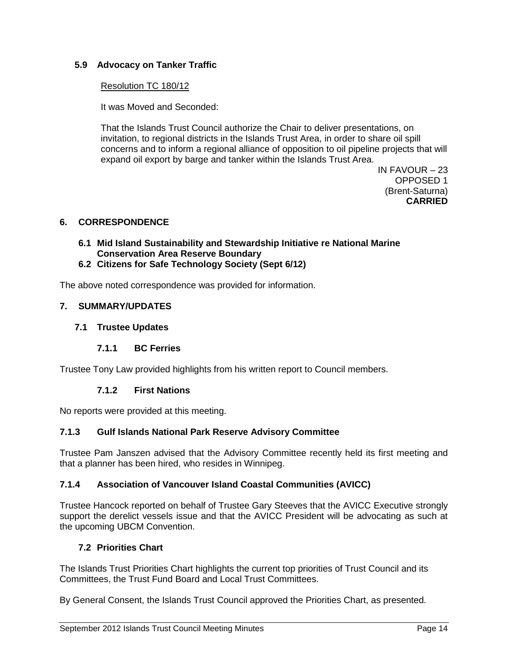# **5.9 Advocacy on Tanker Traffic**

## Resolution TC 180/12

It was Moved and Seconded:

That the Islands Trust Council authorize the Chair to deliver presentations, on invitation, to regional districts in the Islands Trust Area, in order to share oil spill concerns and to inform a regional alliance of opposition to oil pipeline projects that will expand oil export by barge and tanker within the Islands Trust Area.

> IN FAVOUR – 23 OPPOSED 1 (Brent-Saturna) **CARRIED**

## **6. CORRESPONDENCE**

- **6.1 Mid Island Sustainability and Stewardship Initiative re National Marine Conservation Area Reserve Boundary**
- **6.2 Citizens for Safe Technology Society (Sept 6/12)**

The above noted correspondence was provided for information.

## **7. SUMMARY/UPDATES**

## **7.1 Trustee Updates**

## **7.1.1 BC Ferries**

Trustee Tony Law provided highlights from his written report to Council members.

## **7.1.2 First Nations**

No reports were provided at this meeting.

## **7.1.3 Gulf Islands National Park Reserve Advisory Committee**

Trustee Pam Janszen advised that the Advisory Committee recently held its first meeting and that a planner has been hired, who resides in Winnipeg.

## **7.1.4 Association of Vancouver Island Coastal Communities (AVICC)**

Trustee Hancock reported on behalf of Trustee Gary Steeves that the AVICC Executive strongly support the derelict vessels issue and that the AVICC President will be advocating as such at the upcoming UBCM Convention.

# **7.2 Priorities Chart**

The Islands Trust Priorities Chart highlights the current top priorities of Trust Council and its Committees, the Trust Fund Board and Local Trust Committees.

By General Consent, the Islands Trust Council approved the Priorities Chart, as presented.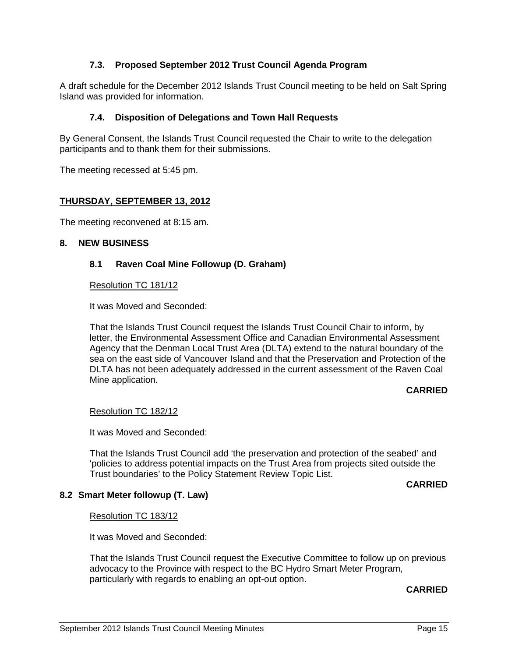# **7.3. Proposed September 2012 Trust Council Agenda Program**

A draft schedule for the December 2012 Islands Trust Council meeting to be held on Salt Spring Island was provided for information.

### **7.4. Disposition of Delegations and Town Hall Requests**

By General Consent, the Islands Trust Council requested the Chair to write to the delegation participants and to thank them for their submissions.

The meeting recessed at 5:45 pm.

### **THURSDAY, SEPTEMBER 13, 2012**

The meeting reconvened at 8:15 am.

### **8. NEW BUSINESS**

### **8.1 Raven Coal Mine Followup (D. Graham)**

#### Resolution TC 181/12

It was Moved and Seconded:

That the Islands Trust Council request the Islands Trust Council Chair to inform, by letter, the Environmental Assessment Office and Canadian Environmental Assessment Agency that the Denman Local Trust Area (DLTA) extend to the natural boundary of the sea on the east side of Vancouver Island and that the Preservation and Protection of the DLTA has not been adequately addressed in the current assessment of the Raven Coal Mine application.

### **CARRIED**

### Resolution TC 182/12

It was Moved and Seconded:

That the Islands Trust Council add 'the preservation and protection of the seabed' and 'policies to address potential impacts on the Trust Area from projects sited outside the Trust boundaries' to the Policy Statement Review Topic List.

#### **CARRIED**

### **8.2 Smart Meter followup (T. Law)**

### Resolution TC 183/12

It was Moved and Seconded:

That the Islands Trust Council request the Executive Committee to follow up on previous advocacy to the Province with respect to the BC Hydro Smart Meter Program, particularly with regards to enabling an opt-out option.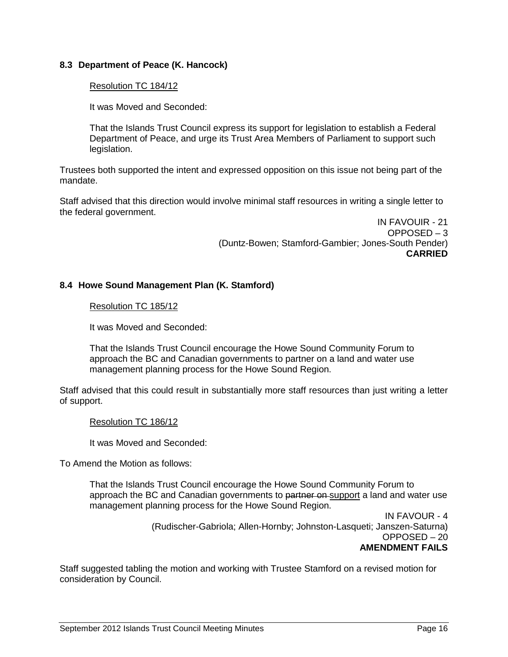## **8.3 Department of Peace (K. Hancock)**

## Resolution TC 184/12

It was Moved and Seconded:

That the Islands Trust Council express its support for legislation to establish a Federal Department of Peace, and urge its Trust Area Members of Parliament to support such legislation.

Trustees both supported the intent and expressed opposition on this issue not being part of the mandate.

Staff advised that this direction would involve minimal staff resources in writing a single letter to the federal government.

> IN FAVOUIR - 21 OPPOSED – 3 (Duntz-Bowen; Stamford-Gambier; Jones-South Pender) **CARRIED**

## **8.4 Howe Sound Management Plan (K. Stamford)**

### Resolution TC 185/12

It was Moved and Seconded:

That the Islands Trust Council encourage the Howe Sound Community Forum to approach the BC and Canadian governments to partner on a land and water use management planning process for the Howe Sound Region.

Staff advised that this could result in substantially more staff resources than just writing a letter of support.

### Resolution TC 186/12

It was Moved and Seconded:

To Amend the Motion as follows:

That the Islands Trust Council encourage the Howe Sound Community Forum to approach the BC and Canadian governments to partner on support a land and water use management planning process for the Howe Sound Region.

> IN FAVOUR - 4 (Rudischer-Gabriola; Allen-Hornby; Johnston-Lasqueti; Janszen-Saturna) OPPOSED – 20 **AMENDMENT FAILS**

Staff suggested tabling the motion and working with Trustee Stamford on a revised motion for consideration by Council.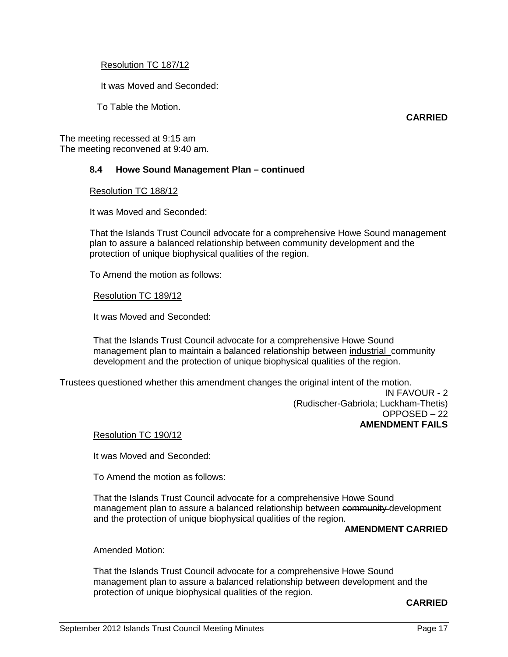### Resolution TC 187/12

It was Moved and Seconded:

To Table the Motion.

**CARRIED**

The meeting recessed at 9:15 am The meeting reconvened at 9:40 am.

## **8.4 Howe Sound Management Plan – continued**

Resolution TC 188/12

It was Moved and Seconded:

That the Islands Trust Council advocate for a comprehensive Howe Sound management plan to assure a balanced relationship between community development and the protection of unique biophysical qualities of the region.

To Amend the motion as follows:

### Resolution TC 189/12

It was Moved and Seconded:

That the Islands Trust Council advocate for a comprehensive Howe Sound management plan to maintain a balanced relationship between industrial community development and the protection of unique biophysical qualities of the region.

Trustees questioned whether this amendment changes the original intent of the motion.

IN FAVOUR - 2 (Rudischer-Gabriola; Luckham-Thetis) OPPOSED – 22 **AMENDMENT FAILS**

### Resolution TC 190/12

It was Moved and Seconded:

To Amend the motion as follows:

That the Islands Trust Council advocate for a comprehensive Howe Sound management plan to assure a balanced relationship between community development and the protection of unique biophysical qualities of the region.

### **AMENDMENT CARRIED**

Amended Motion:

That the Islands Trust Council advocate for a comprehensive Howe Sound management plan to assure a balanced relationship between development and the protection of unique biophysical qualities of the region.